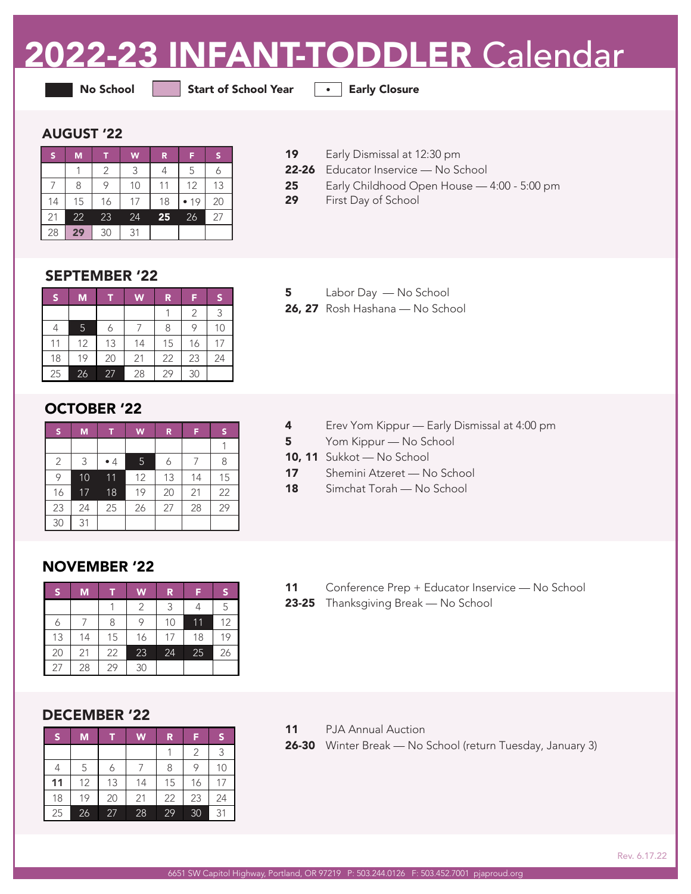# 2022-23 INFANT-TODDLER Calendar

No School Start of School Year **• Early Closure** 

#### AUGUST '22

| S  | M  |    | W  | R  | F  |    |
|----|----|----|----|----|----|----|
|    |    | 2  | 3  | 4  | 5  |    |
|    | 8  | 9  | 10 | 11 | 12 | 13 |
| 14 | 15 | 16 | 17 | 18 | 19 | 20 |
| 21 | 22 | 23 | 24 | 25 | 26 | 27 |
| 28 | 29 | 30 | 31 |    |    |    |

19 Early Dismissal at 12:30 pm

- 22-26 Educator Inservice No School
- 25 Early Childhood Open House 4:00 5:00 pm
- 29 First Day of School

#### SEPTEMBER '22

| S  | M  | т  | W              | R  | F  | S  |
|----|----|----|----------------|----|----|----|
|    |    |    |                |    | 2  | 3  |
|    | 5  | 6  |                | 8  | 9  | 10 |
| 11 | 12 | 13 | 14             | 15 | 16 |    |
| 18 | 19 | 20 | 23<br>22<br>21 |    | 24 |    |
| 25 | 26 | 27 | 28             | 29 | 30 |    |

### OCTOBER '22

| S              | M  |              | W  | R  | F  | S  |
|----------------|----|--------------|----|----|----|----|
|                |    |              |    |    |    |    |
| $\overline{2}$ | 3  | 5<br>•4<br>6 |    | 8  |    |    |
| 9              | 10 | 11           | 12 | 13 | 14 | 15 |
| 16             | 17 | 18           | 19 | 20 | 21 | 22 |
| 23             | 24 | 25           | 26 | 27 | 28 | 29 |
| 30             | 31 |              |    |    |    |    |

## 5 Labor Day — No School

26, 27 Rosh Hashana — No School

- 4 Erev Yom Kippur Early Dismissal at 4:00 pm
- 5 Yom Kippur No School
- 10, 11 Sukkot No School
- 17 Shemini Atzeret No School
- 18 Simchat Torah No School

#### NOVEMBER '22

| S  | M  |    | W  | R  | 13 | s  |
|----|----|----|----|----|----|----|
|    |    |    | 2  | 3  |    | 5  |
|    |    | 8  |    | 10 | 11 |    |
| 13 | 14 | 15 | 16 | 17 | 18 | 19 |
| 20 | 21 | 22 | 23 | 24 | 25 | 26 |
| 27 | 28 | 29 | 30 |    |    |    |

- 11 Conference Prep + Educator Inservice No School
- 23-25 Thanksgiving Break No School

### DECEMBER '22

| lS. | M  |    | W  | R. | F             | S  |
|-----|----|----|----|----|---------------|----|
|     |    |    |    |    | $\mathcal{P}$ | 3  |
|     | 5  |    |    | 8  | 9             | 10 |
| 11  | 12 | 13 | 14 | 15 | 16            | 17 |
| 18  | 19 | 20 | 21 | 22 | 23            | 24 |
| 25  | 26 | 27 | 28 | 29 | 30            | 31 |

- 11 PJA Annual Auction
- 26-30 Winter Break No School (return Tuesday, January 3)